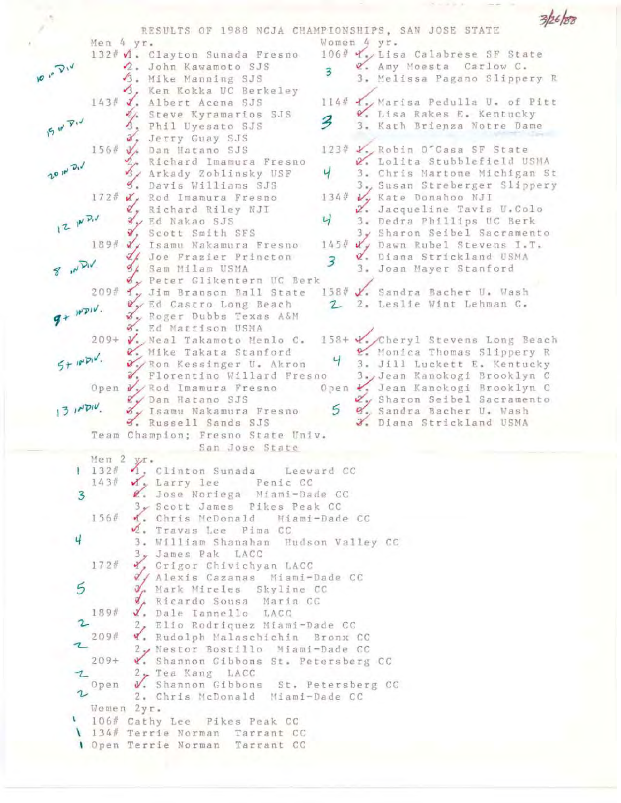|                                                          | RESULTS OF 1988 NCJA CHAMPIONSHIPS, SAN JOSE STATE |
|----------------------------------------------------------|----------------------------------------------------|
| Men 4 yr.                                                | Women 4 yr.                                        |
| 132# <i>A</i> . Clayton Sunada Fresno                    | 106# Y. Lisa Calabrese SF State                    |
| 2. John Kawamoto SJS                                     | 2. Amy Moesta Carlow C.                            |
| 3. Mike Manning SJS                                      | 3. Melissa Pagano Slippery R                       |
| 3, Ken Kokka UC Berkeley                                 |                                                    |
| 143# V. Albert Acena SJS                                 | 114# Y., Marisa Pedulla U. of Pitt                 |
| Steve Kyramarios SJS                                     | 2. Lisa Rakes E. Kentucky                          |
| 15 M P. J<br>Phil Uyesato SJS                            | 3. Kath Brienza Notre Dame                         |
| , Jerry Guay SJS                                         |                                                    |
| 156# V Dan Hatano SJS                                    | 123# Y. Robin O'Casa SF State                      |
| Richard Imamura Fresno                                   | 2. Lolita Stubblefield USMA                        |
| 20 AN DIV<br>Arkady Zoblinsky USF                        | Ч<br>3. Chris Martone Michigan St                  |
| Davis Williams SJS                                       | 3., Susan Streberger Slippery                      |
| 172# X, Rod Imamura Fresno                               | 134# V, Kate Donahoo NJI                           |
| Richard Riley NJI                                        | 2. Jacqueline Tavis U.Colo                         |
| $121^{NPL}$<br>Y Ed Nakao SJS                            | Ч<br>3. Dedra Phillips UC Berk                     |
| Scott Smith SFS                                          | 3, Sharon Seibel Sacramento                        |
| 189#<br>V, Isamu Nakamura Fresno                         | 145#<br>Wy Dawn Rubel Stevens I.T.                 |
| Joe Frazier Princton                                     | V. Diana Strickland USMA<br>$\overline{3}$         |
| 8.70<br>Sam Milam USMA                                   | 3. Joan Mayer Stanford                             |
| o Peter Glikentern UC Berk                               |                                                    |
| 209# f. Jim Branson Ball State                           | 158#<br>V. Sandra Bacher U. Wash                   |
| Vy Ed Castro Long Beach                                  | 2. Leslie Wint Lehman C.                           |
| $9+10V$ .<br>8. Roger Dubbs Texas A&M                    |                                                    |
| 3. Ed Mattison USMA                                      |                                                    |
| 209+ V. Neal Takamoto Menlo C.                           | 158+ V. Cheryl Stevens Long Beach                  |
| V. Mike Takata Stanford                                  | 2. Monica Thomas Slippery R                        |
| $5+100$<br>W./Ron Kessinger U. Akron                     | 3. Jill Luckett E. Kentucky                        |
| Florentino Willard Fresno                                | 3., Jean Kanokogi Brooklyn C                       |
| Open V/Rod Imamura Fresno                                | Open V, Jean Kanokogi Brooklyn C                   |
| 2 Dan Hatano SJS                                         | Z, Sharon Seibel Sacramento                        |
| 13100<br>8, Isamu Nakamura Fresno                        | 5<br>9., Sandra Bacher U. Wash                     |
| 3. Russell Sands SJS                                     | X. Diana Strickland USMA                           |
| Team Champion; Fresno State Univ.                        |                                                    |
| San Jose State                                           |                                                    |
|                                                          |                                                    |
| Men 2 $X^r$ .<br>1 132# 1, Clinton Sunada Leeward CC     |                                                    |
| 143# M, Larry lee Penic CC                               |                                                    |
| $\overline{\mathbf{3}}$<br>Z. Jose Noriega Miami-Dade CC |                                                    |
| 3, Scott James Pikes Peak CC                             |                                                    |
| 156#<br>4. Chris McDonald Miami-Dade CC                  |                                                    |
| 2. Travas Lee Pima CC                                    |                                                    |
| 4<br>3. William Shanahan Hudson Valley CC                |                                                    |
| 3. James Pak LACC                                        |                                                    |
| 172#<br>y, Grigor Chivichyan LACC                        |                                                    |
| Ø/ Alexis Cazanas Miami-Dade CC                          |                                                    |
| 5<br>Mark Mireles Skyline CC                             |                                                    |
| 8, Ricardo Sousa Marin CC                                |                                                    |
| 189#<br>V. Dale Iannello LACO                            |                                                    |
| $\mathfrak{p}$<br>2, Elio Rodriquez Miami-Dade CC        |                                                    |
| 209#<br>Y. Rudolph Malaschichin Bronx CC                 |                                                    |
| 2, Nestor Bostillo Miami-Dade CC                         |                                                    |
| 209+ V. Shannon Gibbons St. Petersberg CC                |                                                    |
| 2, Tea Kang LACC                                         |                                                    |
| Open V. Shannon Gibbons St. Petersberg CC                |                                                    |
| $\sim$<br>2. Chris McDonald Miami-Dade CC                |                                                    |
| Women 2yr.                                               |                                                    |
| 1 106# Cathy Lee Pikes Peak CC                           |                                                    |
| 134# Terrie Norman Tarrant CC                            |                                                    |
| I Open Terrie Norman Tarrant CC                          |                                                    |
|                                                          |                                                    |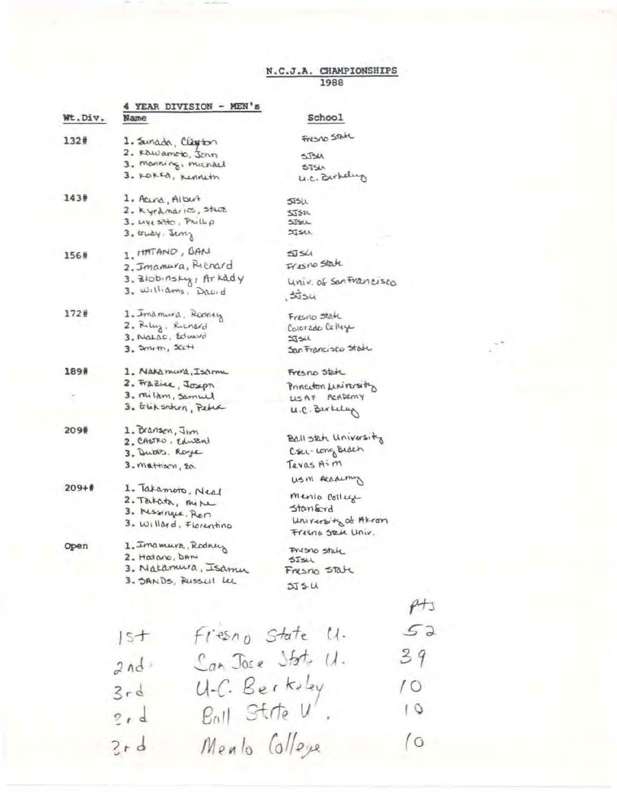## $\underbrace{\texttt{N.C.J.A.} \texttt{CHAMPIONSHIPS}}_{1988}$

|         | 4 YEAR DIVISION - MEN's |                        |  |
|---------|-------------------------|------------------------|--|
| Wt.Div. | Name                    | School                 |  |
| 132#    | 1. Sundda, Clayton      | Fresno State           |  |
|         | 2. Kowamoto, John       | SJSU                   |  |
|         | 3. Manning, Michael     | 21Ar                   |  |
|         | 3. LOKED, Kenneth       | U.C. Birkeling         |  |
| 143#    | 1. Accord, Albert       | <b>SISU</b>            |  |
|         | 2. Kyramarics, stuce    | SJSU                   |  |
|         | 3. Lye sitto, Phillip   | $5580 -$               |  |
|         | 3. trudy, Jeny          | SISAN                  |  |
| 156#    | 1. MATANO, BAN          | হাস্য                  |  |
|         | 2. Imamura, Richard     | FILSNO State           |  |
|         | 3. Zlobinsky, Arkady    | Univ. of San Francisco |  |
|         | 3. Williams, David      | 3354                   |  |
| 172#    | 1. Inidmura, Rodney     | Frisno State           |  |
|         | 2. Roley. Rochard       | Colorado College       |  |
|         | 3. Natac, Edward        | wett                   |  |
|         | $3.2$ muth, $3$ c+      | San Francisco State    |  |
| 189#    | 1. Nakamura, Isamu      | Fresno State           |  |
|         | 2. Frazisce, Joseph     | Princeton Lininisty    |  |
|         | 3. Milam, samuel        | USAF PEADEMY           |  |
|         | 3. Eliksnun, Peter      | U.C. Burkelag          |  |
| 209#    | 1. Branson, Jim         |                        |  |
|         | 2. CASTRO, Edward       | Ball state University  |  |
|         | 3. Dubbs, Roya          | Can-Long Beach         |  |
|         | 3. Mattison, Ea         | Texas Aim              |  |
|         |                         | us m Acaremy           |  |
| $209+$  | 1. Takamoto, Neal       | mento college          |  |
|         | 2. Takata, mune         | stanford               |  |
|         | 3. Mssnege, Ron         | University of Altron   |  |
|         | 3. Willard, Florentino  | Fresno State Univ.     |  |
| Open    | 1. Imamura, Rodney      | Presno state           |  |
|         | 2. Hatano, DAN          | 55st1                  |  |
|         | 3. Natamura, Isamu      | Fresno State           |  |
|         | 3. SANDS, Russell Lee   | 355U                   |  |
|         |                         |                        |  |
|         |                         |                        |  |
|         | s                       | Fresno State LI.       |  |
|         |                         |                        |  |

Can Jose State U.  $2nd$  $54$ U.C. Berkoley<br>Ball State U.  $3rd$  $10$  $\overline{0}$  $2rd$  $\circ$ 

Mento College  $2rd$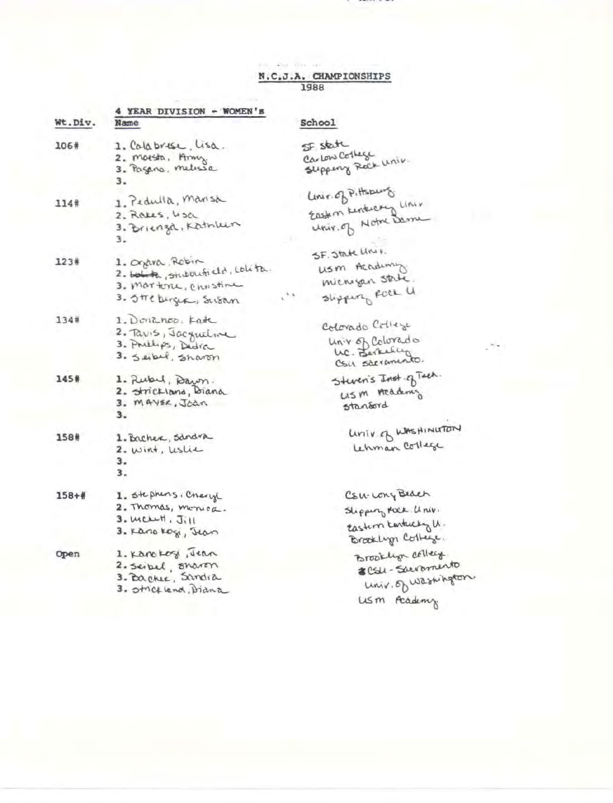N.C.J.A. CHAMPIONSHIPS

 $\mathbb{R}^2$ 

What Your

 $\sim$   $\sim$   $\sim$   $\sim$   $\sim$   $\sim$   $\sim$ 

|           | 4 YEAR DIVISION - WOMEN's         |                                               |
|-----------|-----------------------------------|-----------------------------------------------|
| Wt.Div.   | Name                              | School                                        |
| 106#      | 1. Calabrese, lisa.               | SF state                                      |
|           | 2. MOLSTO. Army                   | Carlow College                                |
|           | 3. Pageno, melissa                | Supperly Rack Univ.                           |
|           | з.                                |                                               |
| 114#      | 1. Pedulla, marisa                | Linir. of Pittsburg<br>Eastern Kentucky Linie |
|           | 2. Rakes, Usa                     |                                               |
|           | 3. Brienza, Kathlen               | univ. of Notre Barne                          |
|           | з.                                |                                               |
|           |                                   | SF. State Univ.                               |
| 123#      | 1. Organ Robin                    | usm Academy                                   |
|           | 2. both the stubulist dd. Lolita. |                                               |
|           | 3. Martone, Christian             | microgan state.                               |
|           | 3. Stre burger, Susan             | slipping FOCK U                               |
| 134#      | 1. Donanoo, Fate                  |                                               |
|           | 2. Tavis, Jacqueline              | Colorado Celleze                              |
|           | 3. Prielips, Dedic                | univ of Colorado                              |
|           | 3. Seibel, Sharon                 | uc. Berkelly<br>CSIL Sacramento.              |
| 145#      | 1. Rubel, Dawn.                   | Steven's Jost of Teen.                        |
|           | 2. Strictions, Diana              | us m Academy                                  |
|           | 3. MAYER, Joan                    | standord                                      |
|           | з.                                |                                               |
| 158#      | 1. Bacher, Sandra                 | Univ of WASHINGTON                            |
|           | 2. wint, uslie                    | Lehman College                                |
|           | з.                                |                                               |
|           | з.                                |                                               |
| $158 +$ # | 1. Stephens, Charyl               | Csu-cong Beach                                |
|           | 2. Thomas, monica.                |                                               |
|           | $3.$ MCL+ $H, J$                  | Slipping POCK Univ.                           |
|           |                                   | Eastern Kentucky U.                           |
|           | 3. Kanokog, Jean                  | Brooklyn College.                             |
| Open      | 1. Karokog, Jean                  | Brooklyn college.                             |
|           | 2. Seibel, snaren                 | 8 Csle-Sacramento                             |
|           | 3. Bacher, Sandra                 |                                               |
|           | 3. otrict land, Diana             | univ. of washington                           |
|           |                                   | USM Academy                                   |